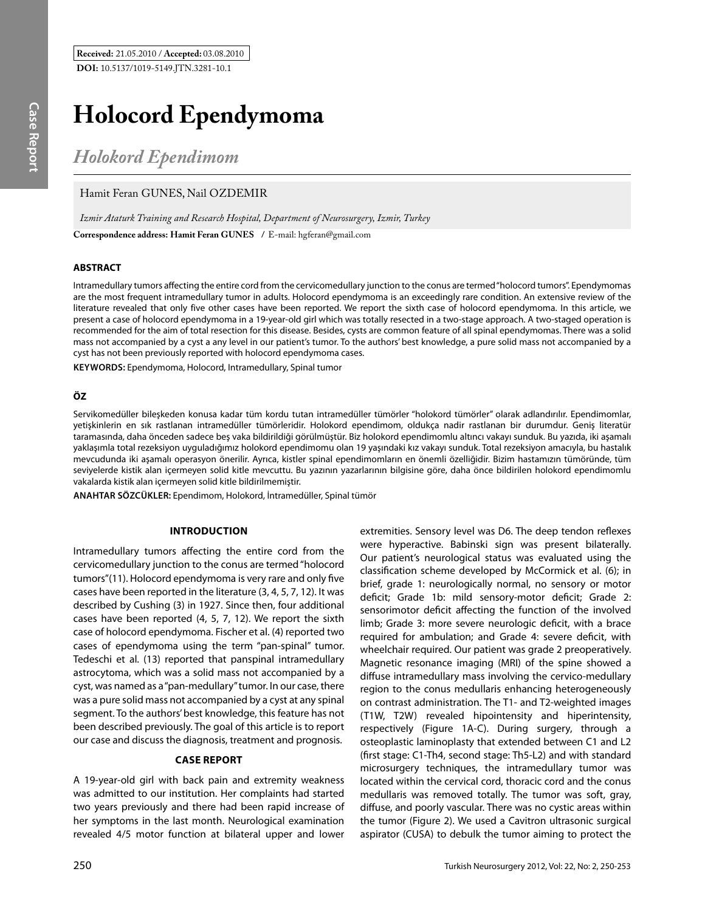# **Holocord Ependymoma**

*Holokord Ependimom*

# Hamit Feran GUNES, Nail OZDEMIR

**Correspondence address: Hamit Feran GUneS /** E-mail: hgferan@gmail.com *Izmir Ataturk Training and Research Hospital, Department of Neurosurgery, Izmir, Turkey*

## **ABSTRACT**

Intramedullary tumors affecting the entire cord from the cervicomedullary junction to the conus are termed "holocord tumors". Ependymomas are the most frequent intramedullary tumor in adults. Holocord ependymoma is an exceedingly rare condition. An extensive review of the literature revealed that only five other cases have been reported. We report the sixth case of holocord ependymoma. In this article, we present a case of holocord ependymoma in a 19-year-old girl which was totally resected in a two-stage approach. A two-staged operation is recommended for the aim of total resection for this disease. Besides, cysts are common feature of all spinal ependymomas. There was a solid mass not accompanied by a cyst a any level in our patient's tumor. To the authors' best knowledge, a pure solid mass not accompanied by a cyst has not been previously reported with holocord ependymoma cases.

**Keywords:** Ependymoma, Holocord, Intramedullary, Spinal tumor

### **ÖZ**

Servikomedüller bileşkeden konusa kadar tüm kordu tutan intramedüller tümörler "holokord tümörler" olarak adlandırılır. Ependimomlar, yetişkinlerin en sık rastlanan intramedüller tümörleridir. Holokord ependimom, oldukça nadir rastlanan bir durumdur. Geniş literatür taramasında, daha önceden sadece beş vaka bildirildiği görülmüştür. Biz holokord ependimomlu altıncı vakayı sunduk. Bu yazıda, iki aşamalı yaklaşımla total rezeksiyon uyguladığımız holokord ependimomu olan 19 yaşındaki kız vakayı sunduk. Total rezeksiyon amacıyla, bu hastalık mevcudunda iki aşamalı operasyon önerilir. Ayrıca, kistler spinal ependimomların en önemli özelliğidir. Bizim hastamızın tümöründe, tüm seviyelerde kistik alan içermeyen solid kitle mevcuttu. Bu yazının yazarlarının bilgisine göre, daha önce bildirilen holokord ependimomlu vakalarda kistik alan içermeyen solid kitle bildirilmemiştir.

**ANAHTAR SÖZCÜKLER:** Ependimom, Holokord, İntramedüller, Spinal tümör

## **Introduction**

Intramedullary tumors affecting the entire cord from the cervicomedullary junction to the conus are termed "holocord tumors"(11). Holocord ependymoma is very rare and only five cases have been reported in the literature (3, 4, 5, 7, 12). It was described by Cushing (3) in 1927. Since then, four additional cases have been reported (4, 5, 7, 12). We report the sixth case of holocord ependymoma. Fischer et al. (4) reported two cases of ependymoma using the term "pan-spinal" tumor. Tedeschi et al. (13) reported that panspinal intramedullary astrocytoma, which was a solid mass not accompanied by a cyst, was named as a "pan-medullary" tumor. In our case, there was a pure solid mass not accompanied by a cyst at any spinal segment. To the authors' best knowledge, this feature has not been described previously. The goal of this article is to report our case and discuss the diagnosis, treatment and prognosis.

#### **Case report**

A 19-year-old girl with back pain and extremity weakness was admitted to our institution. Her complaints had started two years previously and there had been rapid increase of her symptoms in the last month. Neurological examination revealed 4/5 motor function at bilateral upper and lower extremities. Sensory level was D6. The deep tendon reflexes were hyperactive. Babinski sign was present bilaterally. Our patient's neurological status was evaluated using the classification scheme developed by McCormick et al. (6); in brief, grade 1: neurologically normal, no sensory or motor deficit; Grade 1b: mild sensory-motor deficit; Grade 2: sensorimotor deficit affecting the function of the involved limb; Grade 3: more severe neurologic deficit, with a brace required for ambulation; and Grade 4: severe deficit, with wheelchair required. Our patient was grade 2 preoperatively. Magnetic resonance imaging (MRI) of the spine showed a diffuse intramedullary mass involving the cervico-medullary region to the conus medullaris enhancing heterogeneously on contrast administration. The T1- and T2-weighted images (T1W, T2W) revealed hipointensity and hiperintensity, respectively (Figure 1A-C). During surgery, through a osteoplastic laminoplasty that extended between C1 and L2 (first stage: C1-Th4, second stage: Th5-L2) and with standard microsurgery techniques, the intramedullary tumor was located within the cervical cord, thoracic cord and the conus medullaris was removed totally. The tumor was soft, gray, diffuse, and poorly vascular. There was no cystic areas within the tumor (Figure 2). We used a Cavitron ultrasonic surgical aspirator (CUSA) to debulk the tumor aiming to protect the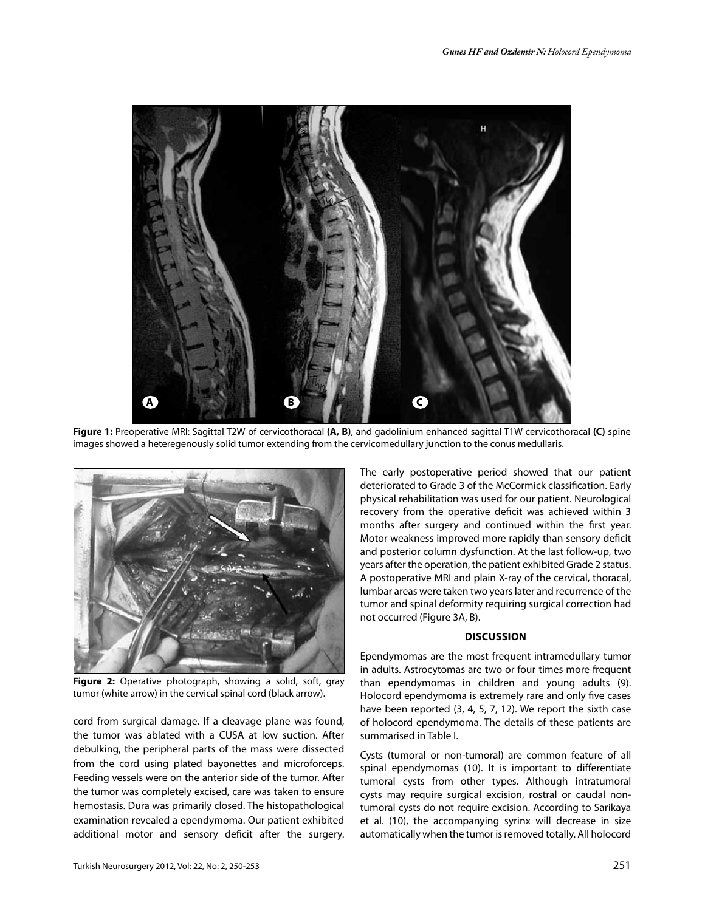

**Figure 1:** Preoperative MRI: Sagittal T2W of cervicothoracal **(A, B)**, and gadolinium enhanced sagittal T1W cervicothoracal **(C)** spine images showed a heteregenously solid tumor extending from the cervicomedullary junction to the conus medullaris.



**Figure 2:** Operative photograph, showing a solid, soft, gray tumor (white arrow) in the cervical spinal cord (black arrow).

cord from surgical damage. If a cleavage plane was found, the tumor was ablated with a CUSA at low suction. After debulking, the peripheral parts of the mass were dissected from the cord using plated bayonettes and microforceps. Feeding vessels were on the anterior side of the tumor. After the tumor was completely excised, care was taken to ensure hemostasis. Dura was primarily closed. The histopathological examination revealed a ependymoma. Our patient exhibited additional motor and sensory deficit after the surgery. The early postoperative period showed that our patient deteriorated to Grade 3 of the McCormick classification. Early physical rehabilitation was used for our patient. Neurological recovery from the operative deficit was achieved within 3 months after surgery and continued within the first year. Motor weakness improved more rapidly than sensory deficit and posterior column dysfunction. At the last follow-up, two years after the operation, the patient exhibited Grade 2 status. A postoperative MRI and plain X-ray of the cervical, thoracal, lumbar areas were taken two years later and recurrence of the tumor and spinal deformity requiring surgical correction had not occurred (Figure 3A, B).

#### **Discussion**

Ependymomas are the most frequent intramedullary tumor in adults. Astrocytomas are two or four times more frequent than ependymomas in children and young adults (9). Holocord ependymoma is extremely rare and only five cases have been reported (3, 4, 5, 7, 12). We report the sixth case of holocord ependymoma. The details of these patients are summarised in Table I.

Cysts (tumoral or non-tumoral) are common feature of all spinal ependymomas (10). It is important to differentiate tumoral cysts from other types. Although intratumoral cysts may require surgical excision, rostral or caudal nontumoral cysts do not require excision. According to Sarikaya et al. (10), the accompanying syrinx will decrease in size automatically when the tumor is removed totally. All holocord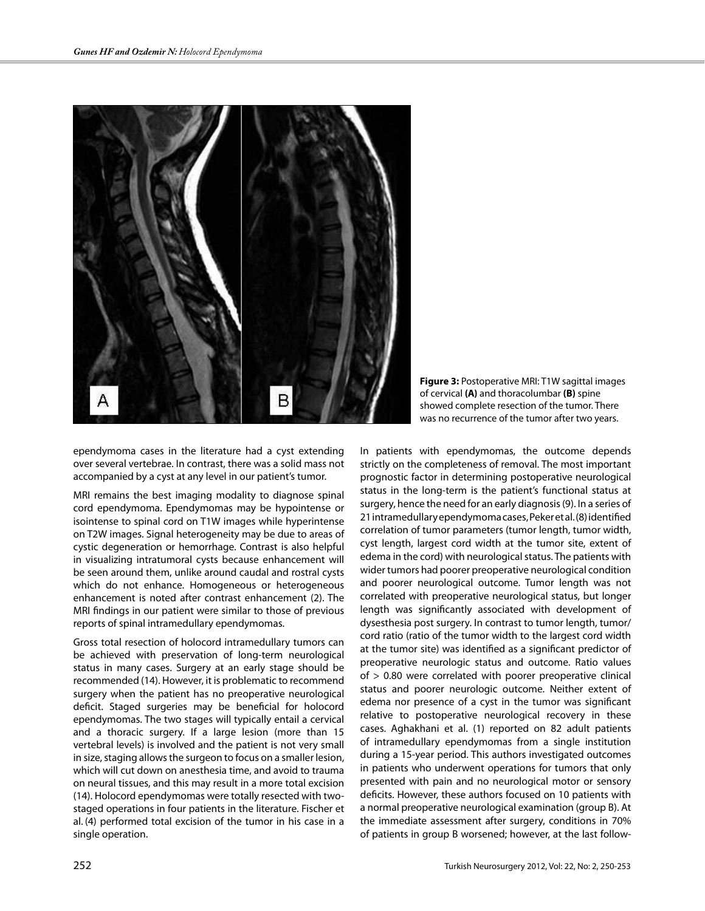

**Figure 3:** Postoperative MRI: T1W sagittal images of cervical **(A)** and thoracolumbar **(B)** spine showed complete resection of the tumor. There was no recurrence of the tumor after two years.

ependymoma cases in the literature had a cyst extending over several vertebrae. In contrast, there was a solid mass not accompanied by a cyst at any level in our patient's tumor.

MRI remains the best imaging modality to diagnose spinal cord ependymoma. Ependymomas may be hypointense or isointense to spinal cord on T1W images while hyperintense on T2W images. Signal heterogeneity may be due to areas of cystic degeneration or hemorrhage. Contrast is also helpful in visualizing intratumoral cysts because enhancement will be seen around them, unlike around caudal and rostral cysts which do not enhance. Homogeneous or heterogeneous enhancement is noted after contrast enhancement (2). The MRI findings in our patient were similar to those of previous reports of spinal intramedullary ependymomas.

Gross total resection of holocord intramedullary tumors can be achieved with preservation of long-term neurological status in many cases. Surgery at an early stage should be recommended (14). However, it is problematic to recommend surgery when the patient has no preoperative neurological deficit. Staged surgeries may be beneficial for holocord ependymomas. The two stages will typically entail a cervical and a thoracic surgery. If a large lesion (more than 15 vertebral levels) is involved and the patient is not very small in size, staging allows the surgeon to focus on a smaller lesion, which will cut down on anesthesia time, and avoid to trauma on neural tissues, and this may result in a more total excision (14). Holocord ependymomas were totally resected with twostaged operations in four patients in the literature. Fischer et al. (4) performed total excision of the tumor in his case in a single operation.

In patients with ependymomas, the outcome depends strictly on the completeness of removal. The most important prognostic factor in determining postoperative neurological status in the long-term is the patient's functional status at surgery, hence the need for an early diagnosis (9). In a series of 21 intramedullary ependymoma cases, Peker et al. (8) identified correlation of tumor parameters (tumor length, tumor width, cyst length, largest cord width at the tumor site, extent of edema in the cord) with neurological status. The patients with wider tumors had poorer preoperative neurological condition and poorer neurological outcome. Tumor length was not correlated with preoperative neurological status, but longer length was significantly associated with development of dysesthesia post surgery. In contrast to tumor length, tumor/ cord ratio (ratio of the tumor width to the largest cord width at the tumor site) was identified as a significant predictor of preoperative neurologic status and outcome. Ratio values of > 0.80 were correlated with poorer preoperative clinical status and poorer neurologic outcome. Neither extent of edema nor presence of a cyst in the tumor was significant relative to postoperative neurological recovery in these cases. Aghakhani et al. (1) reported on 82 adult patients of intramedullary ependymomas from a single institution during a 15-year period. This authors investigated outcomes in patients who underwent operations for tumors that only presented with pain and no neurological motor or sensory deficits. However, these authors focused on 10 patients with a normal preoperative neurological examination (group B). At the immediate assessment after surgery, conditions in 70% of patients in group B worsened; however, at the last follow-